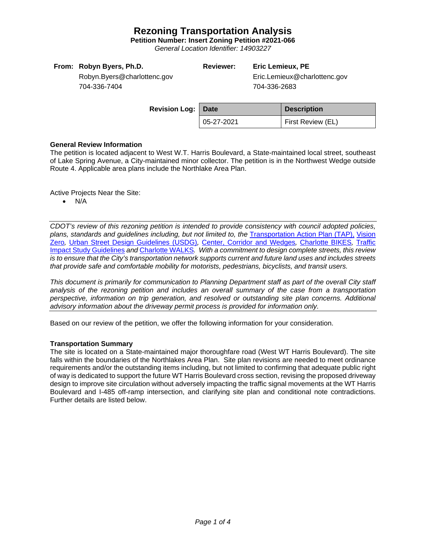# **Rezoning Transportation Analysis**

**Petition Number: Insert Zoning Petition #2021-066**

*General Location Identifier: 14903227*

|  | From: Robyn Byers, Ph.D. |  |  |
|--|--------------------------|--|--|
|--|--------------------------|--|--|

**Reviewer: Eric Lemieux, PE**

Eric.Lemieux@charlottenc.gov 704-336-2683

Robyn.Byers@charlottenc.gov 704-336-7404

| <b>Revision Log: Date</b> |            | <b>Description</b> |
|---------------------------|------------|--------------------|
|                           | 05-27-2021 | First Review (EL)  |

### **General Review Information**

The petition is located adjacent to West W.T. Harris Boulevard, a State-maintained local street, southeast of Lake Spring Avenue, a City-maintained minor collector. The petition is in the Northwest Wedge outside Route 4. Applicable area plans include the Northlake Area Plan.

Active Projects Near the Site:

 $\bullet$  N/A

*CDOT's review of this rezoning petition is intended to provide consistency with council adopted policies, plans, standards and guidelines including, but not limited to, the* [Transportation Action Plan \(TAP\),](https://charlottenc.gov/Transportation/Programs/Pages/TransportationActionPlan.aspx) [Vision](https://charlottenc.gov/VisionZero/Pages/VisionZero.aspx)  [Zero](https://charlottenc.gov/VisionZero/Pages/VisionZero.aspx)*,* [Urban Street Design Guidelines \(USDG\)](https://charlottenc.gov/Transportation/PlansProjects/Documents/USDG%20Full%20Document.pdf)*,* [Center, Corridor and](http://ww.charmeck.org/Planning/Land%20Use%20Planning/CentersCorridorsWedges/CentersCorridorsWedges(Adopted).pdf) Wedges*,* [Charlotte BIKES](https://charlottenc.gov/Transportation/Programs/Pages/Bicycle.aspx)*,* [Traffic](https://charlottenc.gov/Transportation/Permits/Documents/TISProcessandGuildlines.pdf)  [Impact Study Guidelines](https://charlottenc.gov/Transportation/Permits/Documents/TISProcessandGuildlines.pdf) *and* [Charlotte WALKS](https://charlottenc.gov/Transportation/Programs/Pages/CharlotteWalks.aspx)*. With a commitment to design complete streets, this review is to ensure that the City's transportation network supports current and future land uses and includes streets that provide safe and comfortable mobility for motorists, pedestrians, bicyclists, and transit users.*

*This document is primarily for communication to Planning Department staff as part of the overall City staff analysis of the rezoning petition and includes an overall summary of the case from a transportation perspective, information on trip generation, and resolved or outstanding site plan concerns. Additional advisory information about the driveway permit process is provided for information only.*

Based on our review of the petition, we offer the following information for your consideration.

### **Transportation Summary**

The site is located on a State-maintained major thoroughfare road (West WT Harris Boulevard). The site falls within the boundaries of the Northlakes Area Plan. Site plan revisions are needed to meet ordinance requirements and/or the outstanding items including, but not limited to confirming that adequate public right of way is dedicated to support the future WT Harris Boulevard cross section, revising the proposed driveway design to improve site circulation without adversely impacting the traffic signal movements at the WT Harris Boulevard and I-485 off-ramp intersection, and clarifying site plan and conditional note contradictions. Further details are listed below.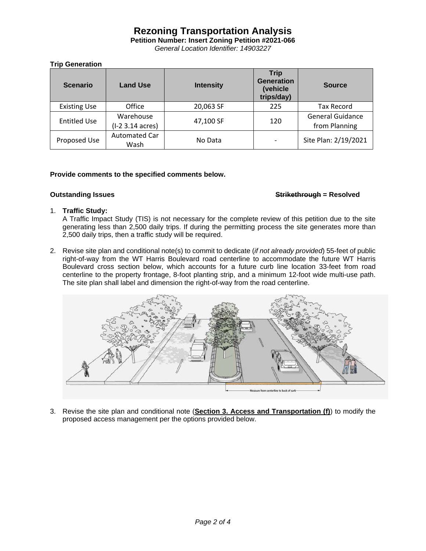# **Rezoning Transportation Analysis**

**Petition Number: Insert Zoning Petition #2021-066**

*General Location Identifier: 14903227*

# **Trip Generation**

| <b>Scenario</b>     | <b>Land Use</b>               | <b>Intensity</b> | <b>Trip</b><br><b>Generation</b><br>(vehicle<br>trips/day) | <b>Source</b>                            |
|---------------------|-------------------------------|------------------|------------------------------------------------------------|------------------------------------------|
| <b>Existing Use</b> | Office                        | 20,063 SF        | 225                                                        | <b>Tax Record</b>                        |
| <b>Entitled Use</b> | Warehouse<br>(I-2 3.14 acres) | 47,100 SF        | 120                                                        | <b>General Guidance</b><br>from Planning |
| Proposed Use        | <b>Automated Car</b><br>Wash  | No Data          |                                                            | Site Plan: 2/19/2021                     |

## **Provide comments to the specified comments below.**

## **Outstanding Issues Strikethrough = Resolved**

### 1. **Traffic Study:**

A Traffic Impact Study (TIS) is not necessary for the complete review of this petition due to the site generating less than 2,500 daily trips. If during the permitting process the site generates more than 2,500 daily trips, then a traffic study will be required.

2. Revise site plan and conditional note(s) to commit to dedicate (*if not already provided*) 55-feet of public right-of-way from the WT Harris Boulevard road centerline to accommodate the future WT Harris Boulevard cross section below, which accounts for a future curb line location 33-feet from road centerline to the property frontage, 8-foot planting strip, and a minimum 12-foot wide multi-use path. The site plan shall label and dimension the right-of-way from the road centerline.



3. Revise the site plan and conditional note (**Section 3. Access and Transportation (f)**) to modify the proposed access management per the options provided below.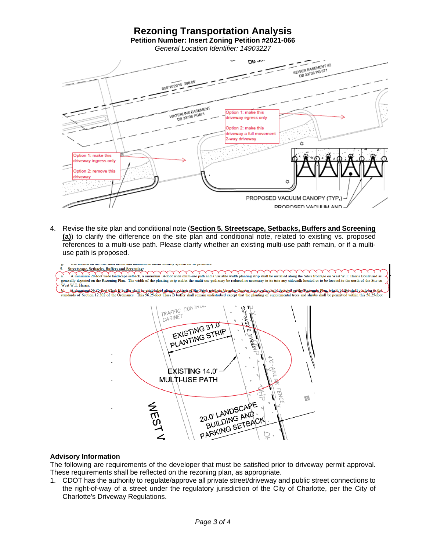## **Rezoning Transportation Analysis Petition Number: Insert Zoning Petition #2021-066**

*General Location Identifier: 14903227*



4. Revise the site plan and conditional note (**Section 5. Streetscape, Setbacks, Buffers and Screening (a)**) to clarify the difference on the site plan and conditional note, related to existing vs. proposed references to a multi-use path. Please clarify whether an existing multi-use path remain, or if a multiuse path is proposed.



### **Advisory Information**

The following are requirements of the developer that must be satisfied prior to driveway permit approval. These requirements shall be reflected on the rezoning plan, as appropriate.

1. CDOT has the authority to regulate/approve all private street/driveway and public street connections to the right-of-way of a street under the regulatory jurisdiction of the City of Charlotte, per the City of Charlotte's Driveway Regulations.